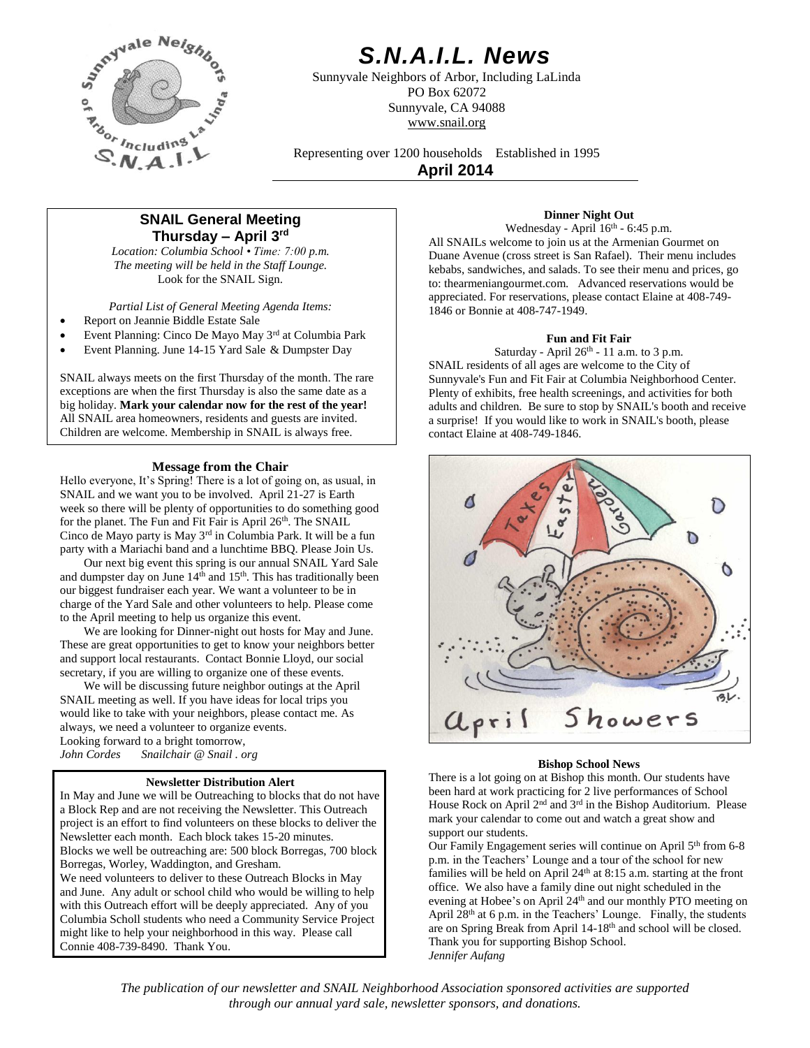

# *S.N.A.I.L. News*

Sunnyvale Neighbors of Arbor, Including LaLinda PO Box 62072 Sunnyvale, CA 94088 www.snail.org

Representing over 1200 households Established in 1995 **April 2014**

# **SNAIL General Meeting Thursday – April 3 rd**

*Location: Columbia School • Time: 7:00 p.m. The meeting will be held in the Staff Lounge.* Look for the SNAIL Sign.

*Partial List of General Meeting Agenda Items:*

- Report on Jeannie Biddle Estate Sale
- Event Planning: Cinco De Mayo May 3rd at Columbia Park
- Event Planning. June 14-15 Yard Sale & Dumpster Day

SNAIL always meets on the first Thursday of the month. The rare exceptions are when the first Thursday is also the same date as a big holiday. **Mark your calendar now for the rest of the year!** All SNAIL area homeowners, residents and guests are invited. Children are welcome. Membership in SNAIL is always free.

# **Message from the Chair**

Hello everyone, It's Spring! There is a lot of going on, as usual, in SNAIL and we want you to be involved. April 21-27 is Earth week so there will be plenty of opportunities to do something good for the planet. The Fun and Fit Fair is April 26<sup>th</sup>. The SNAIL Cinco de Mayo party is May 3rd in Columbia Park. It will be a fun party with a Mariachi band and a lunchtime BBQ. Please Join Us.

Our next big event this spring is our annual SNAIL Yard Sale and dumpster day on June  $14<sup>th</sup>$  and  $15<sup>th</sup>$ . This has traditionally been our biggest fundraiser each year. We want a volunteer to be in charge of the Yard Sale and other volunteers to help. Please come to the April meeting to help us organize this event.

We are looking for Dinner-night out hosts for May and June. These are great opportunities to get to know your neighbors better and support local restaurants. Contact Bonnie Lloyd, our social secretary, if you are willing to organize one of these events.

We will be discussing future neighbor outings at the April SNAIL meeting as well. If you have ideas for local trips you would like to take with your neighbors, please contact me. As always, we need a volunteer to organize events. Looking forward to a bright tomorrow, *John Cordes Snailchair @ Snail . org*

# **Newsletter Distribution Alert**

In May and June we will be Outreaching to blocks that do not have a Block Rep and are not receiving the Newsletter. This Outreach project is an effort to find volunteers on these blocks to deliver the Newsletter each month. Each block takes 15-20 minutes. Blocks we well be outreaching are: 500 block Borregas, 700 block Borregas, Worley, Waddington, and Gresham. We need volunteers to deliver to these Outreach Blocks in May and June. Any adult or school child who would be willing to help with this Outreach effort will be deeply appreciated. Any of you Columbia Scholl students who need a Community Service Project might like to help your neighborhood in this way. Please call Connie 408-739-8490. Thank You.

# **Dinner Night Out**

Wednesday - April 16<sup>th</sup> - 6:45 p.m. All SNAILs welcome to join us at the Armenian Gourmet on Duane Avenue (cross street is San Rafael). Their menu includes kebabs, sandwiches, and salads. To see their menu and prices, go to: thearmeniangourmet.com. Advanced reservations would be appreciated. For reservations, please contact Elaine at 408-749- 1846 or Bonnie at 408-747-1949.

# **Fun and Fit Fair**

Saturday - April  $26<sup>th</sup>$  - 11 a.m. to 3 p.m. SNAIL residents of all ages are welcome to the City of Sunnyvale's Fun and Fit Fair at Columbia Neighborhood Center. Plenty of exhibits, free health screenings, and activities for both adults and children. Be sure to stop by SNAIL's booth and receive a surprise! If you would like to work in SNAIL's booth, please contact Elaine at 408-749-1846.



# **Bishop School News**

There is a lot going on at Bishop this month. Our students have been hard at work practicing for 2 live performances of School House Rock on April 2<sup>nd</sup> and 3<sup>rd</sup> in the Bishop Auditorium. Please mark your calendar to come out and watch a great show and support our students.

Our Family Engagement series will continue on April 5<sup>th</sup> from 6-8 p.m. in the Teachers' Lounge and a tour of the school for new families will be held on April  $24<sup>th</sup>$  at 8:15 a.m. starting at the front office. We also have a family dine out night scheduled in the evening at Hobee's on April 24th and our monthly PTO meeting on April 28<sup>th</sup> at 6 p.m. in the Teachers' Lounge. Finally, the students are on Spring Break from April 14-18<sup>th</sup> and school will be closed. Thank you for supporting Bishop School. *Jennifer Aufang*

*The publication of our newsletter and SNAIL Neighborhood Association sponsored activities are supported through our annual yard sale, newsletter sponsors, and donations.*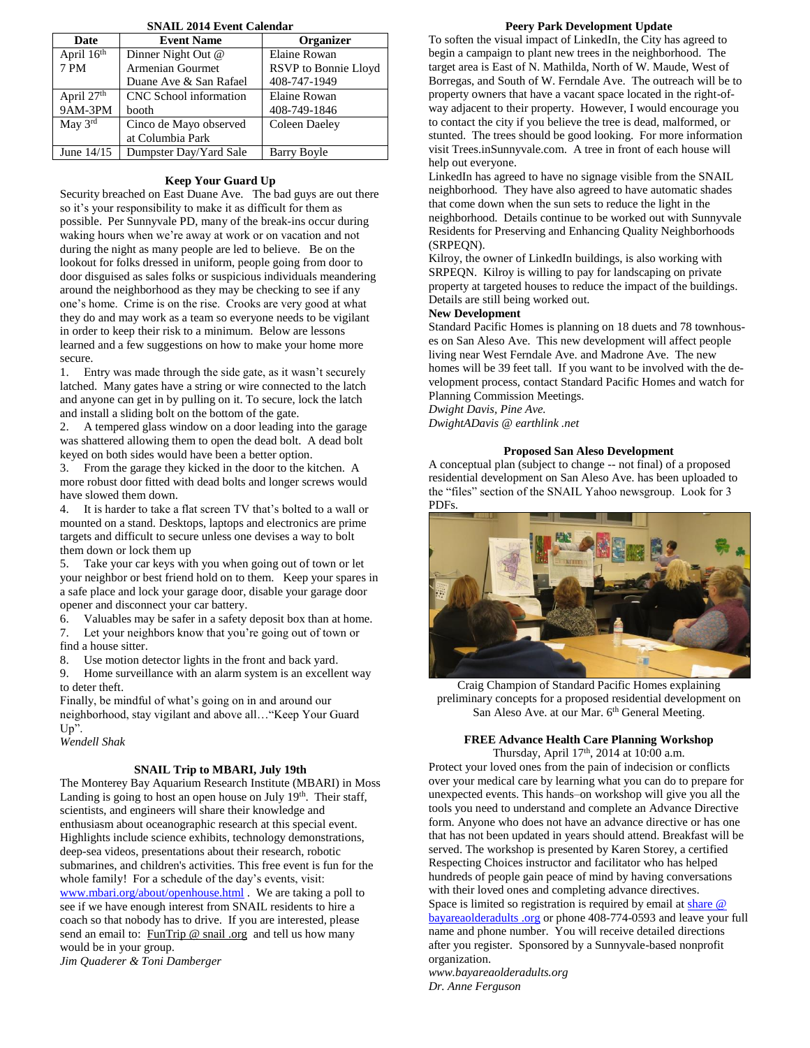| <b>SNAIL 2014 Event Calendar</b> |                        |                      |  |  |
|----------------------------------|------------------------|----------------------|--|--|
| Date                             | <b>Event Name</b>      | <b>Organizer</b>     |  |  |
| April 16th                       | Dinner Night Out @     | Elaine Rowan         |  |  |
| 7 PM                             | Armenian Gourmet       | RSVP to Bonnie Lloyd |  |  |
|                                  | Duane Ave & San Rafael | 408-747-1949         |  |  |
| April 27th                       | CNC School information | Elaine Rowan         |  |  |
| 9AM-3PM                          | booth                  | 408-749-1846         |  |  |
| May $3^{\text{rd}}$              | Cinco de Mayo observed | Coleen Daeley        |  |  |
|                                  | at Columbia Park       |                      |  |  |
| June $14/15$                     | Dumpster Day/Yard Sale | Barry Boyle          |  |  |

# **Keep Your Guard Up**

Security breached on East Duane Ave. The bad guys are out there so it's your responsibility to make it as difficult for them as possible. Per Sunnyvale PD, many of the break-ins occur during waking hours when we're away at work or on vacation and not during the night as many people are led to believe. Be on the lookout for folks dressed in uniform, people going from door to door disguised as sales folks or suspicious individuals meandering around the neighborhood as they may be checking to see if any one's home. Crime is on the rise. Crooks are very good at what they do and may work as a team so everyone needs to be vigilant in order to keep their risk to a minimum. Below are lessons learned and a few suggestions on how to make your home more secure.

1. Entry was made through the side gate, as it wasn't securely latched. Many gates have a string or wire connected to the latch and anyone can get in by pulling on it. To secure, lock the latch and install a sliding bolt on the bottom of the gate.

2. A tempered glass window on a door leading into the garage was shattered allowing them to open the dead bolt. A dead bolt keyed on both sides would have been a better option.

3. From the garage they kicked in the door to the kitchen. A more robust door fitted with dead bolts and longer screws would have slowed them down.

4. It is harder to take a flat screen TV that's bolted to a wall or mounted on a stand. Desktops, laptops and electronics are prime targets and difficult to secure unless one devises a way to bolt them down or lock them up

5. Take your car keys with you when going out of town or let your neighbor or best friend hold on to them. Keep your spares in a safe place and lock your garage door, disable your garage door opener and disconnect your car battery.

6. Valuables may be safer in a safety deposit box than at home. 7. Let your neighbors know that you're going out of town or find a house sitter.

8. Use motion detector lights in the front and back yard.

9. Home surveillance with an alarm system is an excellent way to deter theft.

Finally, be mindful of what's going on in and around our neighborhood, stay vigilant and above all…"Keep Your Guard Up".

*Wendell Shak*

## **SNAIL Trip to MBARI, July 19th**

The Monterey Bay Aquarium Research Institute (MBARI) in Moss Landing is going to host an open house on July 19<sup>th</sup>. Their staff, scientists, and engineers will share their knowledge and enthusiasm about oceanographic research at this special event. Highlights include science exhibits, technology demonstrations, deep-sea videos, presentations about their research, robotic submarines, and children's activities. This free event is fun for the whole family! For a schedule of the day's events, visit: [www.mbari.org/about/openhouse.html](http://www.mbari.org/about/openhouse.html) . We are taking a poll to see if we have enough interest from SNAIL residents to hire a coach so that nobody has to drive. If you are interested, please send an email to: FunTrip @ snail .org and tell us how many would be in your group.

*Jim Quaderer & Toni Damberger*

#### **Peery Park Development Update**

To soften the visual impact of LinkedIn, the City has agreed to begin a campaign to plant new trees in the neighborhood. The target area is East of N. Mathilda, North of W. Maude, West of Borregas, and South of W. Ferndale Ave. The outreach will be to property owners that have a vacant space located in the right-ofway adjacent to their property. However, I would encourage you to contact the city if you believe the tree is dead, malformed, or stunted. The trees should be good looking. For more information visit Trees.inSunnyvale.com. A tree in front of each house will help out everyone.

LinkedIn has agreed to have no signage visible from the SNAIL neighborhood. They have also agreed to have automatic shades that come down when the sun sets to reduce the light in the neighborhood. Details continue to be worked out with Sunnyvale Residents for Preserving and Enhancing Quality Neighborhoods (SRPEQN).

Kilroy, the owner of LinkedIn buildings, is also working with SRPEQN. Kilroy is willing to pay for landscaping on private property at targeted houses to reduce the impact of the buildings. Details are still being worked out.

#### **New Development**

Standard Pacific Homes is planning on 18 duets and 78 townhouses on San Aleso Ave. This new development will affect people living near West Ferndale Ave. and Madrone Ave. The new homes will be 39 feet tall. If you want to be involved with the development process, contact Standard Pacific Homes and watch for Planning Commission Meetings.

*Dwight Davis, Pine Ave. DwightADavis @ earthlink .net*

#### **Proposed San Aleso Development**

A conceptual plan (subject to change -- not final) of a proposed residential development on San Aleso Ave. has been uploaded to the "files" section of the SNAIL Yahoo newsgroup. Look for 3 PDFs.



Craig Champion of Standard Pacific Homes explaining preliminary concepts for a proposed residential development on San Aleso Ave. at our Mar. 6<sup>th</sup> General Meeting.

#### **FREE Advance Health Care Planning Workshop** Thursday, April 17<sup>th</sup>, 2014 at 10:00 a.m.

Protect your loved ones from the pain of indecision or conflicts over your medical care by learning what you can do to prepare for unexpected events. This hands–on workshop will give you all the tools you need to understand and complete an Advance Directive form. Anyone who does not have an advance directive or has one that has not been updated in years should attend. Breakfast will be served. The workshop is presented by Karen Storey, a certified Respecting Choices instructor and facilitator who has helped hundreds of people gain peace of mind by having conversations with their loved ones and completing advance directives. Space is limited so registration is required by email at [share](mailto:share@bayareaolderadults.org)  $\omega$ [bayareaolderadults](mailto:share@bayareaolderadults.org) .org or phone 408-774-0593 and leave your full name and phone number. You will receive detailed directions after you register. Sponsored by a Sunnyvale-based nonprofit organization.

*www.bayareaolderadults.org Dr. Anne Ferguson*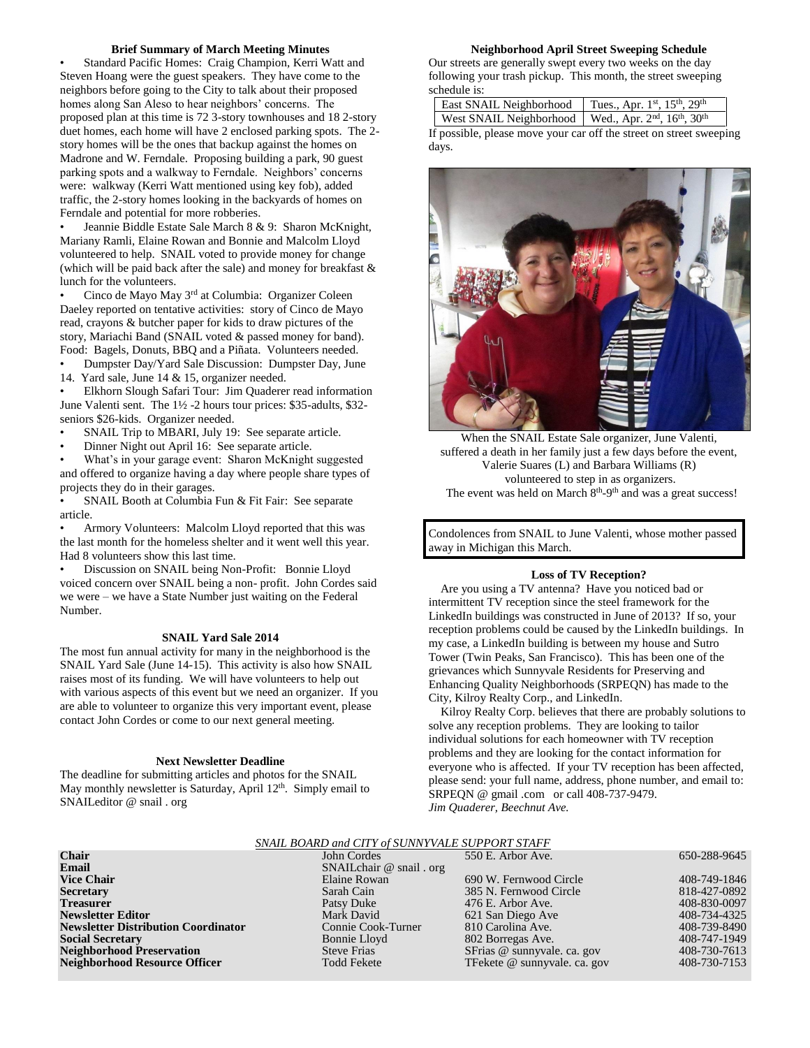## **Brief Summary of March Meeting Minutes**

• Standard Pacific Homes: Craig Champion, Kerri Watt and Steven Hoang were the guest speakers. They have come to the neighbors before going to the City to talk about their proposed homes along San Aleso to hear neighbors' concerns. The proposed plan at this time is 72 3-story townhouses and 18 2-story duet homes, each home will have 2 enclosed parking spots. The 2 story homes will be the ones that backup against the homes on Madrone and W. Ferndale. Proposing building a park, 90 guest parking spots and a walkway to Ferndale. Neighbors' concerns were: walkway (Kerri Watt mentioned using key fob), added traffic, the 2-story homes looking in the backyards of homes on Ferndale and potential for more robberies.

• Jeannie Biddle Estate Sale March 8 & 9: Sharon McKnight, Mariany Ramli, Elaine Rowan and Bonnie and Malcolm Lloyd volunteered to help. SNAIL voted to provide money for change (which will be paid back after the sale) and money for breakfast & lunch for the volunteers.

• Cinco de Mayo May 3rd at Columbia: Organizer Coleen Daeley reported on tentative activities: story of Cinco de Mayo read, crayons & butcher paper for kids to draw pictures of the story, Mariachi Band (SNAIL voted & passed money for band). Food: Bagels, Donuts, BBQ and a Piñata. Volunteers needed.

• Dumpster Day/Yard Sale Discussion: Dumpster Day, June

14. Yard sale, June 14 & 15, organizer needed.

• Elkhorn Slough Safari Tour: Jim Quaderer read information June Valenti sent. The 1½ -2 hours tour prices: \$35-adults, \$32 seniors \$26-kids. Organizer needed.

- SNAIL Trip to MBARI, July 19: See separate article.
- Dinner Night out April 16: See separate article.

• What's in your garage event: Sharon McKnight suggested and offered to organize having a day where people share types of projects they do in their garages.

SNAIL Booth at Columbia Fun & Fit Fair: See separate article.

• Armory Volunteers: Malcolm Lloyd reported that this was the last month for the homeless shelter and it went well this year. Had 8 volunteers show this last time.

• Discussion on SNAIL being Non-Profit: Bonnie Lloyd voiced concern over SNAIL being a non- profit. John Cordes said we were – we have a State Number just waiting on the Federal Number.

#### **SNAIL Yard Sale 2014**

The most fun annual activity for many in the neighborhood is the SNAIL Yard Sale (June 14-15). This activity is also how SNAIL raises most of its funding. We will have volunteers to help out with various aspects of this event but we need an organizer. If you are able to volunteer to organize this very important event, please contact John Cordes or come to our next general meeting.

#### **Next Newsletter Deadline**

The deadline for submitting articles and photos for the SNAIL May monthly newsletter is Saturday, April 12<sup>th</sup>. Simply email to SNAILeditor @ snail . org

#### **Neighborhood April Street Sweeping Schedule**

Our streets are generally swept every two weeks on the day following your trash pickup. This month, the street sweeping schedule is:

| East SNAIL Neighborhood Tues., Apr. 1st, 15th, 29th |  |
|-----------------------------------------------------|--|
|                                                     |  |

West SNAIL Neighborhood | Wed., Apr.  $2<sup>nd</sup>$ ,  $16<sup>th</sup>$ ,  $30<sup>th</sup>$ If possible, please move your car off the street on street sweeping days.



When the SNAIL Estate Sale organizer, June Valenti, suffered a death in her family just a few days before the event, Valerie Suares (L) and Barbara Williams (R) volunteered to step in as organizers. The event was held on March  $8<sup>th</sup>$ -9<sup>th</sup> and was a great success!

Condolences from SNAIL to June Valenti, whose mother passed away in Michigan this March.

#### **Loss of TV Reception?**

 Are you using a TV antenna? Have you noticed bad or intermittent TV reception since the steel framework for the LinkedIn buildings was constructed in June of 2013? If so, your reception problems could be caused by the LinkedIn buildings. In my case, a LinkedIn building is between my house and Sutro Tower (Twin Peaks, San Francisco). This has been one of the grievances which Sunnyvale Residents for Preserving and Enhancing Quality Neighborhoods (SRPEQN) has made to the City, Kilroy Realty Corp., and LinkedIn.

 Kilroy Realty Corp. believes that there are probably solutions to solve any reception problems. They are looking to tailor individual solutions for each homeowner with TV reception problems and they are looking for the contact information for everyone who is affected. If your TV reception has been affected, please send: your full name, address, phone number, and email to: SRPEQN @ gmail .com or call 408-737-9479. *Jim Quaderer, Beechnut Ave.*

| SNAIL BOARD and CITY of SUNNYVALE SUPPORT STAFF |                             |                              |              |  |
|-------------------------------------------------|-----------------------------|------------------------------|--------------|--|
| <b>Chair</b>                                    | John Cordes                 | 550 E. Arbor Ave.            | 650-288-9645 |  |
| Email                                           | SNAIL chair $@$ snail . org |                              |              |  |
| <b>Vice Chair</b>                               | Elaine Rowan                | 690 W. Fernwood Circle       | 408-749-1846 |  |
| <b>Secretary</b>                                | Sarah Cain                  | 385 N. Fernwood Circle       | 818-427-0892 |  |
| <b>Treasurer</b>                                | Patsy Duke                  | 476 E. Arbor Ave.            | 408-830-0097 |  |
| <b>Newsletter Editor</b>                        | Mark David                  | 621 San Diego Ave            | 408-734-4325 |  |
| <b>Newsletter Distribution Coordinator</b>      | Connie Cook-Turner          | 810 Carolina Ave.            | 408-739-8490 |  |
| <b>Social Secretary</b>                         | Bonnie Lloyd                | 802 Borregas Ave.            | 408-747-1949 |  |
| <b>Neighborhood Preservation</b>                | <b>Steve Frias</b>          | SFrias @ sunnyvale. ca. gov  | 408-730-7613 |  |
| <b>Neighborhood Resource Officer</b>            | <b>Todd Fekete</b>          | TFekete @ sunnyvale. ca. gov | 408-730-7153 |  |